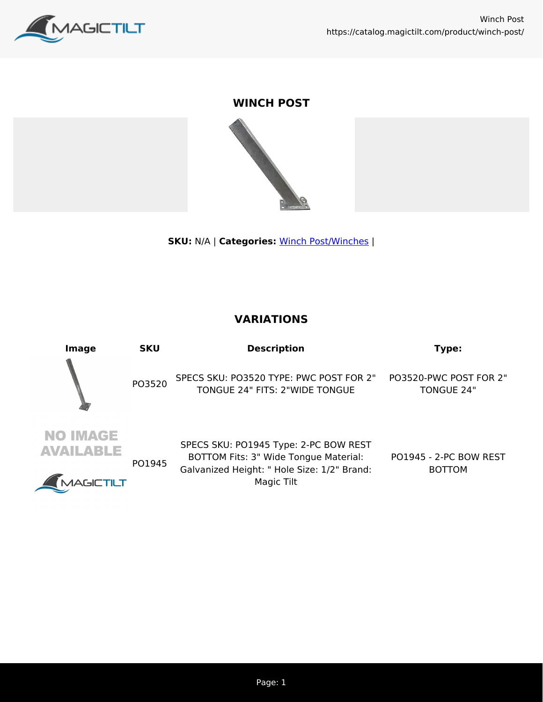

## **WINCH POST**



**SKU:** N/A | **Categories:** [Winch Post/Winches](https://catalog.magictilt.com/product-category/winch-post-winches/) |

## **VARIATIONS**

| Image                                                   | <b>SKU</b> | <b>Description</b>                                                                                                                          | Type:                                       |
|---------------------------------------------------------|------------|---------------------------------------------------------------------------------------------------------------------------------------------|---------------------------------------------|
|                                                         | PO3520     | SPECS SKU: PO3520 TYPE: PWC POST FOR 2"<br>TONGUE 24" FITS: 2"WIDE TONGUE                                                                   | PO3520-PWC POST FOR 2"<br><b>TONGUE 24"</b> |
| <b>NO IMAGE</b><br><b>AVAILABLE</b><br><b>AAGICTILT</b> | PO1945     | SPECS SKU: PO1945 Type: 2-PC BOW REST<br>BOTTOM Fits: 3" Wide Tongue Material:<br>Galvanized Height: " Hole Size: 1/2" Brand:<br>Magic Tilt | PO1945 - 2-PC BOW REST<br><b>BOTTOM</b>     |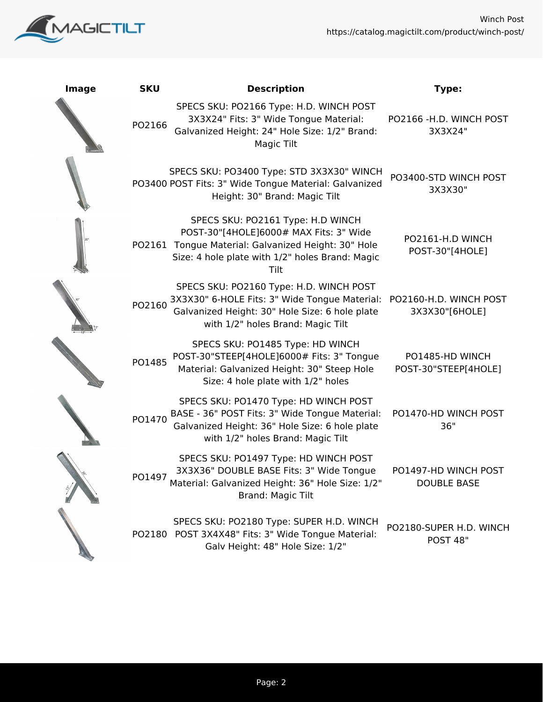



| <b>Image</b> | <b>SKU</b> | <b>Description</b>                                                                                                                                                                            | Type:                                      |
|--------------|------------|-----------------------------------------------------------------------------------------------------------------------------------------------------------------------------------------------|--------------------------------------------|
|              | PO2166     | SPECS SKU: PO2166 Type: H.D. WINCH POST<br>3X3X24" Fits: 3" Wide Tongue Material:<br>Galvanized Height: 24" Hole Size: 1/2" Brand:<br>Magic Tilt                                              | PO2166 - H.D. WINCH POST<br>3X3X24"        |
|              |            | SPECS SKU: PO3400 Type: STD 3X3X30" WINCH<br>PO3400 POST Fits: 3" Wide Tongue Material: Galvanized<br>Height: 30" Brand: Magic Tilt                                                           | PO3400-STD WINCH POST<br>3X3X30"           |
|              |            | SPECS SKU: PO2161 Type: H.D WINCH<br>POST-30"[4HOLE]6000# MAX Fits: 3" Wide<br>PO2161 Tongue Material: Galvanized Height: 30" Hole<br>Size: 4 hole plate with 1/2" holes Brand: Magic<br>Tilt | PO2161-H.D WINCH<br>POST-30"[4HOLE]        |
|              | PO2160     | SPECS SKU: PO2160 Type: H.D. WINCH POST<br>3X3X30" 6-HOLE Fits: 3" Wide Tongue Material:<br>Galvanized Height: 30" Hole Size: 6 hole plate<br>with 1/2" holes Brand: Magic Tilt               | PO2160-H.D. WINCH POST<br>3X3X30"[6HOLE]   |
|              | PO1485     | SPECS SKU: PO1485 Type: HD WINCH<br>POST-30"STEEP[4HOLE]6000# Fits: 3" Tongue<br>Material: Galvanized Height: 30" Steep Hole<br>Size: 4 hole plate with 1/2" holes                            | PO1485-HD WINCH<br>POST-30"STEEP[4HOLE]    |
|              | PO1470     | SPECS SKU: PO1470 Type: HD WINCH POST<br>BASE - 36" POST Fits: 3" Wide Tongue Material:<br>Galvanized Height: 36" Hole Size: 6 hole plate<br>with 1/2" holes Brand: Magic Tilt                | PO1470-HD WINCH POST<br>36"                |
|              | PO1497     | SPECS SKU: PO1497 Type: HD WINCH POST<br>3X3X36" DOUBLE BASE Fits: 3" Wide Tongue<br>Material: Galvanized Height: 36" Hole Size: 1/2"<br>Brand: Magic Tilt                                    | PO1497-HD WINCH POST<br><b>DOUBLE BASE</b> |
|              |            | SPECS SKU: PO2180 Type: SUPER H.D. WINCH<br>PO2180 POST 3X4X48" Fits: 3" Wide Tongue Material:<br>Galv Height: 48" Hole Size: 1/2"                                                            | PO2180-SUPER H.D. WINCH<br>POST 48"        |